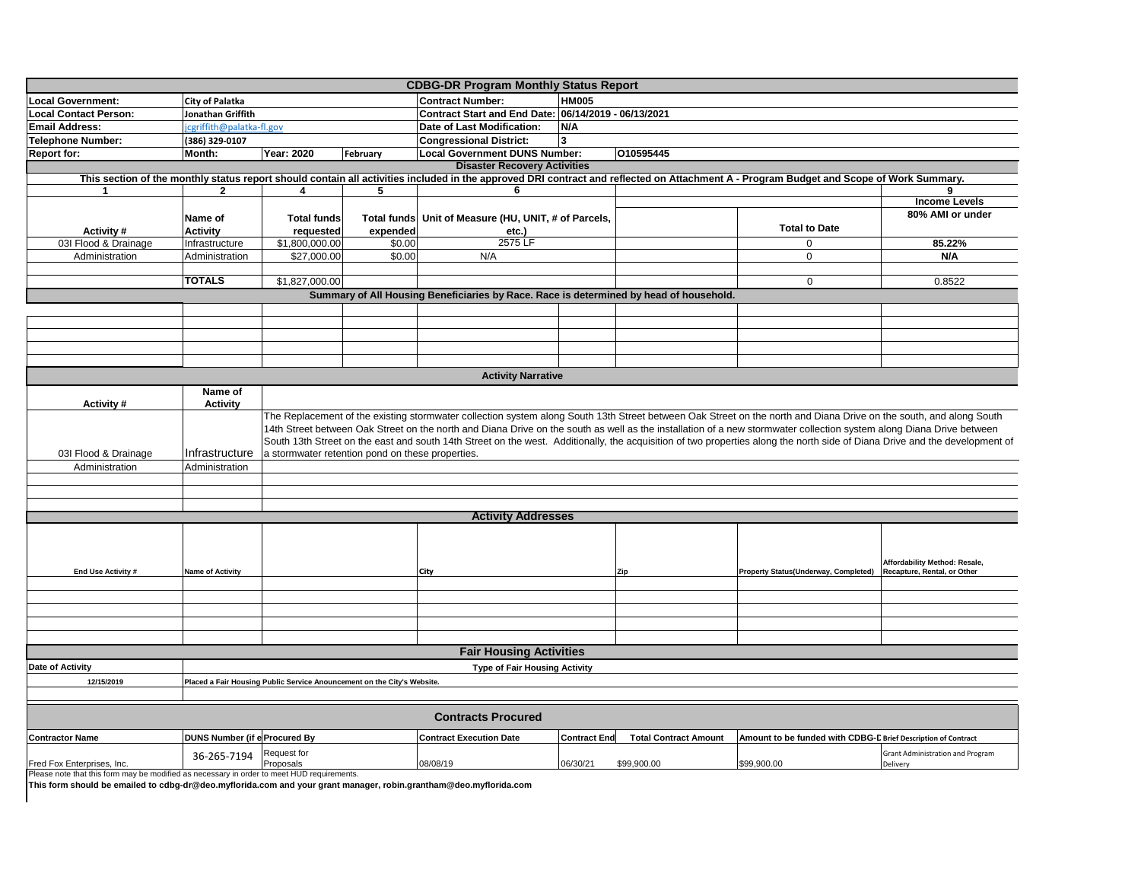| <b>CDBG-DR Program Monthly Status Report</b>                                                                                                                                            |                                                                         |                                                                                                                                                                                                                                                                                                                                            |                    |                                                      |                     |                              |                                                               |                                         |  |
|-----------------------------------------------------------------------------------------------------------------------------------------------------------------------------------------|-------------------------------------------------------------------------|--------------------------------------------------------------------------------------------------------------------------------------------------------------------------------------------------------------------------------------------------------------------------------------------------------------------------------------------|--------------------|------------------------------------------------------|---------------------|------------------------------|---------------------------------------------------------------|-----------------------------------------|--|
| <b>Local Government:</b>                                                                                                                                                                | City of Palatka                                                         |                                                                                                                                                                                                                                                                                                                                            |                    | <b>Contract Number:</b>                              | <b>HM005</b>        |                              |                                                               |                                         |  |
| <b>Local Contact Person:</b>                                                                                                                                                            | Jonathan Griffith                                                       |                                                                                                                                                                                                                                                                                                                                            |                    | Contract Start and End Date: 06/14/2019 - 06/13/2021 |                     |                              |                                                               |                                         |  |
| <b>Email Address:</b>                                                                                                                                                                   | cgriffith@palatka-fl.gov                                                |                                                                                                                                                                                                                                                                                                                                            |                    | Date of Last Modification:                           | N/A                 |                              |                                                               |                                         |  |
| <b>Telephone Number:</b>                                                                                                                                                                | (386) 329-0107                                                          |                                                                                                                                                                                                                                                                                                                                            |                    | <b>Congressional District:</b><br>3                  |                     |                              |                                                               |                                         |  |
| <b>Report for:</b>                                                                                                                                                                      | Month:                                                                  | Year: 2020                                                                                                                                                                                                                                                                                                                                 | February           | <b>Local Government DUNS Number:</b>                 |                     | 010595445                    |                                                               |                                         |  |
|                                                                                                                                                                                         |                                                                         |                                                                                                                                                                                                                                                                                                                                            |                    | <b>Disaster Recovery Activities</b>                  |                     |                              |                                                               |                                         |  |
| This section of the monthly status report should contain all activities included in the approved DRI contract and reflected on Attachment A - Program Budget and Scope of Work Summary. |                                                                         |                                                                                                                                                                                                                                                                                                                                            |                    |                                                      |                     |                              |                                                               |                                         |  |
| 1                                                                                                                                                                                       | $\mathbf{2}$                                                            | 4                                                                                                                                                                                                                                                                                                                                          | 5                  | 6                                                    |                     |                              |                                                               | 9                                       |  |
|                                                                                                                                                                                         |                                                                         |                                                                                                                                                                                                                                                                                                                                            |                    |                                                      |                     |                              |                                                               | <b>Income Levels</b>                    |  |
|                                                                                                                                                                                         | Name of                                                                 | <b>Total funds</b>                                                                                                                                                                                                                                                                                                                         | <b>Total funds</b> | Unit of Measure (HU, UNIT, # of Parcels,             |                     |                              |                                                               | 80% AMI or under                        |  |
| Activity#                                                                                                                                                                               | <b>Activity</b>                                                         | requested                                                                                                                                                                                                                                                                                                                                  | expended           | etc.)                                                |                     |                              | <b>Total to Date</b>                                          |                                         |  |
| 03I Flood & Drainage                                                                                                                                                                    | Infrastructure                                                          | \$1,800,000.00                                                                                                                                                                                                                                                                                                                             | \$0.00             | 2575 LF                                              |                     |                              | $\Omega$                                                      | 85.22%                                  |  |
| Administration                                                                                                                                                                          | Administration                                                          | \$27,000.00                                                                                                                                                                                                                                                                                                                                | \$0.00             | N/A                                                  |                     |                              | $\mathbf 0$                                                   | N/A                                     |  |
|                                                                                                                                                                                         |                                                                         |                                                                                                                                                                                                                                                                                                                                            |                    |                                                      |                     |                              |                                                               |                                         |  |
|                                                                                                                                                                                         | <b>TOTALS</b>                                                           | \$1,827,000.00                                                                                                                                                                                                                                                                                                                             |                    |                                                      |                     |                              | $\mathbf 0$                                                   | 0.8522                                  |  |
| Summary of All Housing Beneficiaries by Race. Race is determined by head of household.                                                                                                  |                                                                         |                                                                                                                                                                                                                                                                                                                                            |                    |                                                      |                     |                              |                                                               |                                         |  |
|                                                                                                                                                                                         |                                                                         |                                                                                                                                                                                                                                                                                                                                            |                    |                                                      |                     |                              |                                                               |                                         |  |
|                                                                                                                                                                                         |                                                                         |                                                                                                                                                                                                                                                                                                                                            |                    |                                                      |                     |                              |                                                               |                                         |  |
|                                                                                                                                                                                         |                                                                         |                                                                                                                                                                                                                                                                                                                                            |                    |                                                      |                     |                              |                                                               |                                         |  |
|                                                                                                                                                                                         |                                                                         |                                                                                                                                                                                                                                                                                                                                            |                    |                                                      |                     |                              |                                                               |                                         |  |
|                                                                                                                                                                                         |                                                                         |                                                                                                                                                                                                                                                                                                                                            |                    |                                                      |                     |                              |                                                               |                                         |  |
|                                                                                                                                                                                         |                                                                         |                                                                                                                                                                                                                                                                                                                                            |                    |                                                      |                     |                              |                                                               |                                         |  |
| <b>Activity Narrative</b>                                                                                                                                                               |                                                                         |                                                                                                                                                                                                                                                                                                                                            |                    |                                                      |                     |                              |                                                               |                                         |  |
|                                                                                                                                                                                         |                                                                         | Name of                                                                                                                                                                                                                                                                                                                                    |                    |                                                      |                     |                              |                                                               |                                         |  |
| Activity#                                                                                                                                                                               | <b>Activity</b>                                                         |                                                                                                                                                                                                                                                                                                                                            |                    |                                                      |                     |                              |                                                               |                                         |  |
|                                                                                                                                                                                         |                                                                         | The Replacement of the existing stormwater collection system along South 13th Street between Oak Street on the north and Diana Drive on the south, and along South<br>14th Street between Oak Street on the north and Diana Drive on the south as well as the installation of a new stormwater collection system along Diana Drive between |                    |                                                      |                     |                              |                                                               |                                         |  |
|                                                                                                                                                                                         |                                                                         |                                                                                                                                                                                                                                                                                                                                            |                    |                                                      |                     |                              |                                                               |                                         |  |
|                                                                                                                                                                                         | Infrastructure                                                          | South 13th Street on the east and south 14th Street on the west. Additionally, the acquisition of two properties along the north side of Diana Drive and the development of                                                                                                                                                                |                    |                                                      |                     |                              |                                                               |                                         |  |
| 03I Flood & Drainage                                                                                                                                                                    |                                                                         | a stormwater retention pond on these properties.                                                                                                                                                                                                                                                                                           |                    |                                                      |                     |                              |                                                               |                                         |  |
| Administration                                                                                                                                                                          | Administration                                                          |                                                                                                                                                                                                                                                                                                                                            |                    |                                                      |                     |                              |                                                               |                                         |  |
|                                                                                                                                                                                         |                                                                         |                                                                                                                                                                                                                                                                                                                                            |                    |                                                      |                     |                              |                                                               |                                         |  |
|                                                                                                                                                                                         |                                                                         |                                                                                                                                                                                                                                                                                                                                            |                    |                                                      |                     |                              |                                                               |                                         |  |
|                                                                                                                                                                                         | <b>Activity Addresses</b>                                               |                                                                                                                                                                                                                                                                                                                                            |                    |                                                      |                     |                              |                                                               |                                         |  |
|                                                                                                                                                                                         |                                                                         |                                                                                                                                                                                                                                                                                                                                            |                    |                                                      |                     |                              |                                                               |                                         |  |
|                                                                                                                                                                                         |                                                                         |                                                                                                                                                                                                                                                                                                                                            |                    |                                                      |                     |                              |                                                               |                                         |  |
|                                                                                                                                                                                         |                                                                         |                                                                                                                                                                                                                                                                                                                                            |                    |                                                      |                     |                              |                                                               |                                         |  |
|                                                                                                                                                                                         |                                                                         |                                                                                                                                                                                                                                                                                                                                            |                    |                                                      |                     |                              |                                                               | Affordability Method: Resale,           |  |
| End Use Activity #                                                                                                                                                                      | <b>Name of Activity</b>                                                 |                                                                                                                                                                                                                                                                                                                                            |                    | City                                                 |                     |                              | Property Status(Underway, Completed)                          | Recapture, Rental, or Other             |  |
|                                                                                                                                                                                         |                                                                         |                                                                                                                                                                                                                                                                                                                                            |                    |                                                      |                     |                              |                                                               |                                         |  |
|                                                                                                                                                                                         |                                                                         |                                                                                                                                                                                                                                                                                                                                            |                    |                                                      |                     |                              |                                                               |                                         |  |
|                                                                                                                                                                                         |                                                                         |                                                                                                                                                                                                                                                                                                                                            |                    |                                                      |                     |                              |                                                               |                                         |  |
|                                                                                                                                                                                         |                                                                         |                                                                                                                                                                                                                                                                                                                                            |                    |                                                      |                     |                              |                                                               |                                         |  |
|                                                                                                                                                                                         |                                                                         |                                                                                                                                                                                                                                                                                                                                            |                    |                                                      |                     |                              |                                                               |                                         |  |
| <b>Fair Housing Activities</b>                                                                                                                                                          |                                                                         |                                                                                                                                                                                                                                                                                                                                            |                    |                                                      |                     |                              |                                                               |                                         |  |
| Date of Activity<br><b>Type of Fair Housing Activity</b>                                                                                                                                |                                                                         |                                                                                                                                                                                                                                                                                                                                            |                    |                                                      |                     |                              |                                                               |                                         |  |
| 12/15/2019                                                                                                                                                                              | Placed a Fair Housing Public Service Anouncement on the City's Website. |                                                                                                                                                                                                                                                                                                                                            |                    |                                                      |                     |                              |                                                               |                                         |  |
|                                                                                                                                                                                         |                                                                         |                                                                                                                                                                                                                                                                                                                                            |                    |                                                      |                     |                              |                                                               |                                         |  |
|                                                                                                                                                                                         |                                                                         |                                                                                                                                                                                                                                                                                                                                            |                    |                                                      |                     |                              |                                                               |                                         |  |
| <b>Contracts Procured</b>                                                                                                                                                               |                                                                         |                                                                                                                                                                                                                                                                                                                                            |                    |                                                      |                     |                              |                                                               |                                         |  |
| <b>Contractor Name</b>                                                                                                                                                                  | <b>DUNS Number (if e Procured By</b>                                    |                                                                                                                                                                                                                                                                                                                                            |                    | <b>Contract Execution Date</b>                       | <b>Contract End</b> | <b>Total Contract Amount</b> | Amount to be funded with CDBG-D Brief Description of Contract |                                         |  |
|                                                                                                                                                                                         | 36-265-7194                                                             | Request for                                                                                                                                                                                                                                                                                                                                |                    |                                                      |                     |                              |                                                               | <b>Grant Administration and Program</b> |  |
| Fred Fox Enterprises, Inc.                                                                                                                                                              |                                                                         | Proposals                                                                                                                                                                                                                                                                                                                                  |                    | 08/08/19                                             | 06/30/21            | \$99,900.00                  | \$99,900.00                                                   | Delivery                                |  |
| Please note that this form may be modified as necessary in order to meet HUD requirements.                                                                                              |                                                                         |                                                                                                                                                                                                                                                                                                                                            |                    |                                                      |                     |                              |                                                               |                                         |  |

Please note that this form may be modified as necessary in order to meet HUD requirements. **This form should be emailed to cdbg-dr@deo.myflorida.com and your grant manager, robin.grantham@deo.myflorida.com**